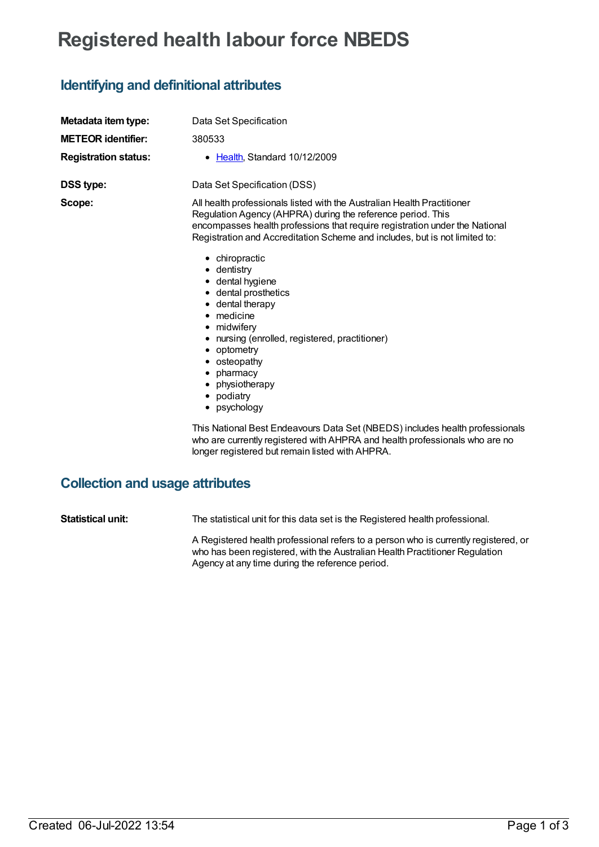# **Registered health labour force NBEDS**

## **Identifying and definitional attributes**

| Metadata item type:<br><b>METEOR identifier:</b><br><b>Registration status:</b> | Data Set Specification<br>380533<br>Health, Standard 10/12/2009<br>٠                                                                                                                                                                                                                                                                                                                                                                                                                                                                                                                                                                                                                                                                                                         |
|---------------------------------------------------------------------------------|------------------------------------------------------------------------------------------------------------------------------------------------------------------------------------------------------------------------------------------------------------------------------------------------------------------------------------------------------------------------------------------------------------------------------------------------------------------------------------------------------------------------------------------------------------------------------------------------------------------------------------------------------------------------------------------------------------------------------------------------------------------------------|
| <b>DSS type:</b><br>Scope:                                                      | Data Set Specification (DSS)<br>All health professionals listed with the Australian Health Practitioner<br>Regulation Agency (AHPRA) during the reference period. This<br>encompasses health professions that require registration under the National<br>Registration and Accreditation Scheme and includes, but is not limited to:<br>• chiropractic<br>dentistry<br>• dental hygiene<br>dental prosthetics<br>dental therapy<br>medicine<br>٠<br>midwifery<br>٠<br>nursing (enrolled, registered, practitioner)<br>optometry<br>٠<br>osteopathy<br>pharmacy<br>٠<br>physiotherapy<br>podiatry<br>psychology<br>This National Best Endeavours Data Set (NBEDS) includes health professionals<br>who are currently registered with AHPRA and health professionals who are no |
|                                                                                 | longer registered but remain listed with AHPRA.                                                                                                                                                                                                                                                                                                                                                                                                                                                                                                                                                                                                                                                                                                                              |

### **Collection and usage attributes**

**Statistical unit:** The statistical unit for this data set is the Registered health professional.

A Registered health professional refers to a person who is currently registered, or who has been registered, with the Australian Health Practitioner Regulation Agency at any time during the reference period.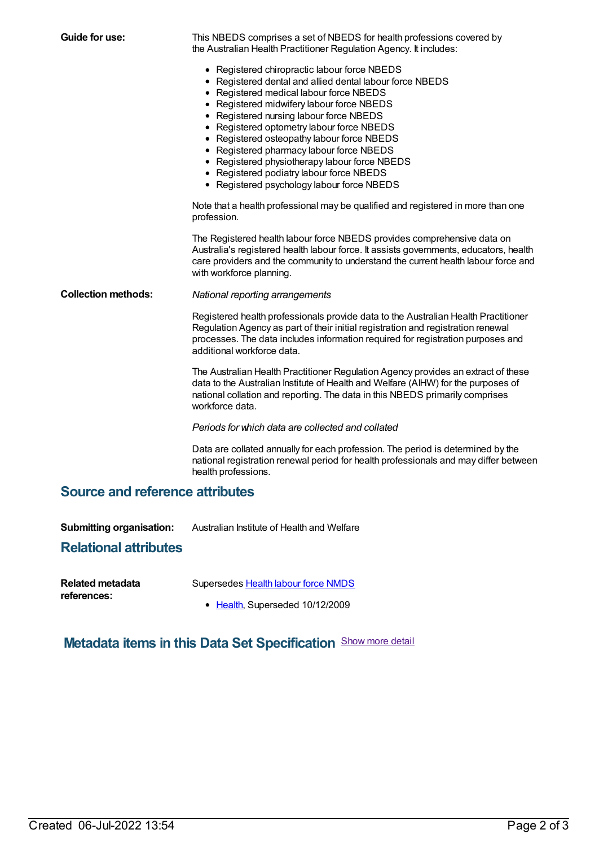**Guide for use:** This NBEDS comprises a set of NBEDS for health professions covered by the Australian Health Practitioner Regulation Agency. It includes: • Registered chiropractic labour force NBEDS Registered dental and allied dental labour force NBEDS • Registered medical labour force NBEDS • Registered midwifery labour force NBEDS • Registered nursing labour force NBEDS • Registered optometry labour force NBEDS • Registered osteopathy labour force NBEDS • Registered pharmacy labour force NBEDS • Registered physiotherapy labour force NBEDS Registered podiatry labour force NBEDS • Registered psychology labour force NBEDS Note that a health professional may be qualified and registered in more than one profession. The Registered health labour force NBEDS provides comprehensive data on Australia's registered health labour force. It assists governments, educators, health care providers and the community to understand the current health labour force and with workforce planning. **Collection methods:** *National reporting arrangements* Registered health professionals provide data to the Australian Health Practitioner Regulation Agency as part of their initial registration and registration renewal processes. The data includes information required for registration purposes and additional workforce data. The Australian Health Practitioner Regulation Agency provides an extract of these data to the Australian Institute of Health and Welfare (AIHW) for the purposes of national collation and reporting. The data in this NBEDS primarily comprises workforce data. *Periods for which data are collected and collated* Data are collated annually for each profession. The period is determined by the national registration renewal period for health professionals and may differ between health professions. **Source and reference attributes Submitting organisation:** Australian Institute of Health and Welfare **Relational attributes Related metadata references:** Supersedes Health labour force [NMDS](https://meteor.aihw.gov.au/content/273041) • [Health](https://meteor.aihw.gov.au/RegistrationAuthority/12), Superseded 10/12/2009

### **Metadata items in this Data Set Specification** Show more detail